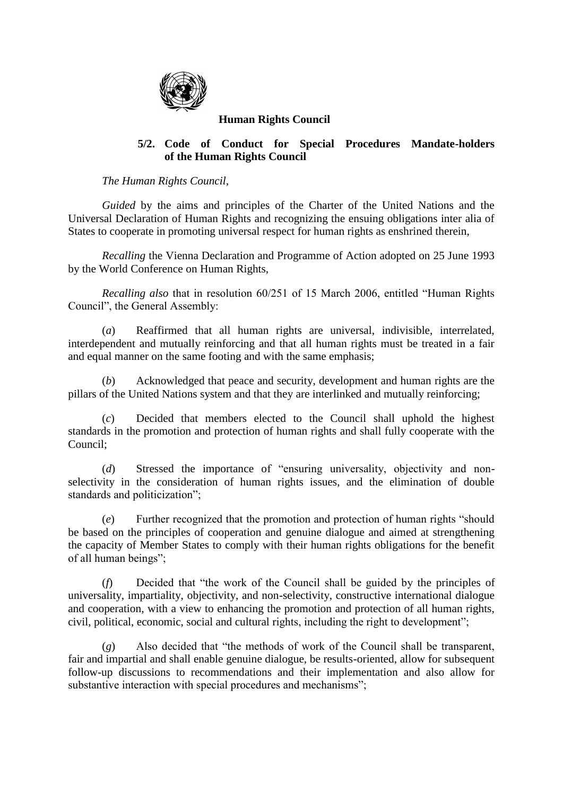

# **Human Rights Council**

# **5/2. Code of Conduct for Special Procedures Mandate-holders of the Human Rights Council**

*The Human Rights Council*,

*Guided* by the aims and principles of the Charter of the United Nations and the Universal Declaration of Human Rights and recognizing the ensuing obligations inter alia of States to cooperate in promoting universal respect for human rights as enshrined therein,

*Recalling* the Vienna Declaration and Programme of Action adopted on 25 June 1993 by the World Conference on Human Rights,

*Recalling also* that in resolution 60/251 of 15 March 2006, entitled "Human Rights Council", the General Assembly:

(*a*) Reaffirmed that all human rights are universal, indivisible, interrelated, interdependent and mutually reinforcing and that all human rights must be treated in a fair and equal manner on the same footing and with the same emphasis;

(*b*) Acknowledged that peace and security, development and human rights are the pillars of the United Nations system and that they are interlinked and mutually reinforcing;

Decided that members elected to the Council shall uphold the highest standards in the promotion and protection of human rights and shall fully cooperate with the Council;

(*d*) Stressed the importance of "ensuring universality, objectivity and nonselectivity in the consideration of human rights issues, and the elimination of double standards and politicization";

(*e*) Further recognized that the promotion and protection of human rights "should be based on the principles of cooperation and genuine dialogue and aimed at strengthening the capacity of Member States to comply with their human rights obligations for the benefit of all human beings";

(*f*) Decided that "the work of the Council shall be guided by the principles of universality, impartiality, objectivity, and non-selectivity, constructive international dialogue and cooperation, with a view to enhancing the promotion and protection of all human rights, civil, political, economic, social and cultural rights, including the right to development";

(*g*) Also decided that "the methods of work of the Council shall be transparent, fair and impartial and shall enable genuine dialogue, be results-oriented, allow for subsequent follow-up discussions to recommendations and their implementation and also allow for substantive interaction with special procedures and mechanisms";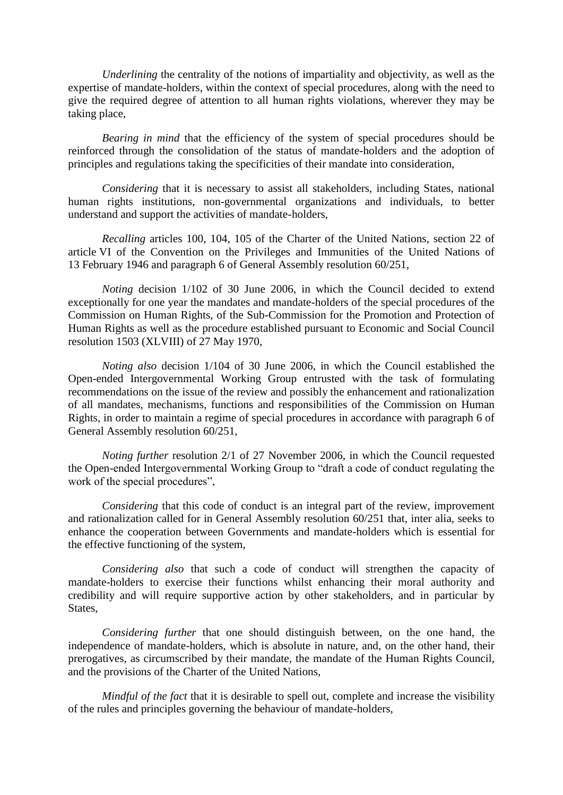*Underlining* the centrality of the notions of impartiality and objectivity, as well as the expertise of mandate-holders, within the context of special procedures, along with the need to give the required degree of attention to all human rights violations, wherever they may be taking place,

*Bearing in mind* that the efficiency of the system of special procedures should be reinforced through the consolidation of the status of mandate-holders and the adoption of principles and regulations taking the specificities of their mandate into consideration,

*Considering* that it is necessary to assist all stakeholders, including States, national human rights institutions, non-governmental organizations and individuals, to better understand and support the activities of mandate-holders,

*Recalling* articles 100, 104, 105 of the Charter of the United Nations, section 22 of article VI of the Convention on the Privileges and Immunities of the United Nations of 13 February 1946 and paragraph 6 of General Assembly resolution 60/251,

*Noting* decision 1/102 of 30 June 2006, in which the Council decided to extend exceptionally for one year the mandates and mandate-holders of the special procedures of the Commission on Human Rights, of the Sub-Commission for the Promotion and Protection of Human Rights as well as the procedure established pursuant to Economic and Social Council resolution 1503 (XLVIII) of 27 May 1970,

*Noting also* decision 1/104 of 30 June 2006, in which the Council established the Open-ended Intergovernmental Working Group entrusted with the task of formulating recommendations on the issue of the review and possibly the enhancement and rationalization of all mandates, mechanisms, functions and responsibilities of the Commission on Human Rights, in order to maintain a regime of special procedures in accordance with paragraph 6 of General Assembly resolution 60/251,

*Noting further* resolution 2/1 of 27 November 2006, in which the Council requested the Open-ended Intergovernmental Working Group to "draft a code of conduct regulating the work of the special procedures",

*Considering* that this code of conduct is an integral part of the review, improvement and rationalization called for in General Assembly resolution 60/251 that, inter alia, seeks to enhance the cooperation between Governments and mandate-holders which is essential for the effective functioning of the system,

*Considering also* that such a code of conduct will strengthen the capacity of mandate-holders to exercise their functions whilst enhancing their moral authority and credibility and will require supportive action by other stakeholders, and in particular by States,

*Considering further* that one should distinguish between, on the one hand, the independence of mandate-holders, which is absolute in nature, and, on the other hand, their prerogatives, as circumscribed by their mandate, the mandate of the Human Rights Council, and the provisions of the Charter of the United Nations,

*Mindful of the fact* that it is desirable to spell out, complete and increase the visibility of the rules and principles governing the behaviour of mandate-holders,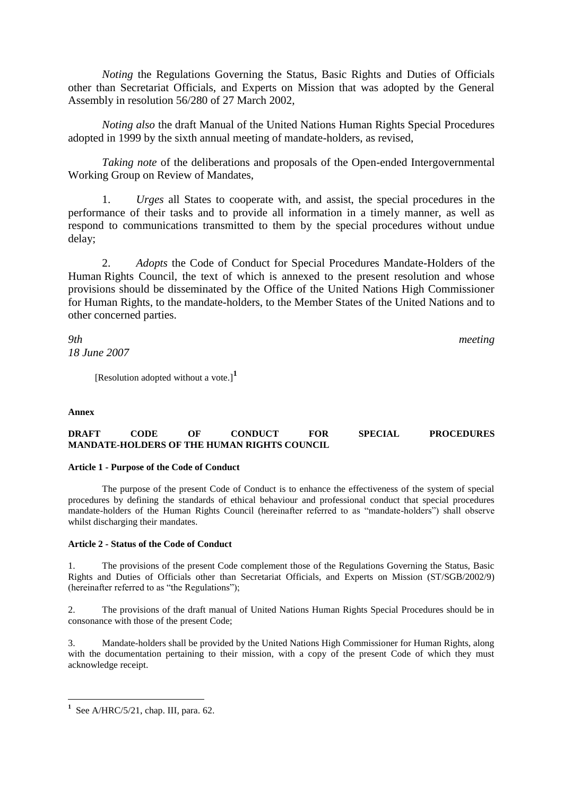*Noting* the Regulations Governing the Status, Basic Rights and Duties of Officials other than Secretariat Officials, and Experts on Mission that was adopted by the General Assembly in resolution 56/280 of 27 March 2002,

*Noting also* the draft Manual of the United Nations Human Rights Special Procedures adopted in 1999 by the sixth annual meeting of mandate-holders, as revised,

*Taking note* of the deliberations and proposals of the Open-ended Intergovernmental Working Group on Review of Mandates,

1. *Urges* all States to cooperate with, and assist, the special procedures in the performance of their tasks and to provide all information in a timely manner, as well as respond to communications transmitted to them by the special procedures without undue delay;

2. *Adopts* the Code of Conduct for Special Procedures Mandate-Holders of the Human Rights Council, the text of which is annexed to the present resolution and whose provisions should be disseminated by the Office of the United Nations High Commissioner for Human Rights, to the mandate-holders, to the Member States of the United Nations and to other concerned parties.

*9th meeting 18 June 2007*

[Resolution adopted without a vote.]**<sup>1</sup>**

# **Annex**

1

## **DRAFT CODE OF CONDUCT FOR SPECIAL PROCEDURES MANDATE-HOLDERS OF THE HUMAN RIGHTS COUNCIL**

#### **Article 1 - Purpose of the Code of Conduct**

The purpose of the present Code of Conduct is to enhance the effectiveness of the system of special procedures by defining the standards of ethical behaviour and professional conduct that special procedures mandate-holders of the Human Rights Council (hereinafter referred to as "mandate-holders") shall observe whilst discharging their mandates.

## **Article 2 - Status of the Code of Conduct**

1. The provisions of the present Code complement those of the Regulations Governing the Status, Basic Rights and Duties of Officials other than Secretariat Officials, and Experts on Mission (ST/SGB/2002/9) (hereinafter referred to as "the Regulations");

2. The provisions of the draft manual of United Nations Human Rights Special Procedures should be in consonance with those of the present Code;

3. Mandate-holders shall be provided by the United Nations High Commissioner for Human Rights, along with the documentation pertaining to their mission, with a copy of the present Code of which they must acknowledge receipt.

**<sup>1</sup>** See A/HRC/5/21, chap. III, para. 62.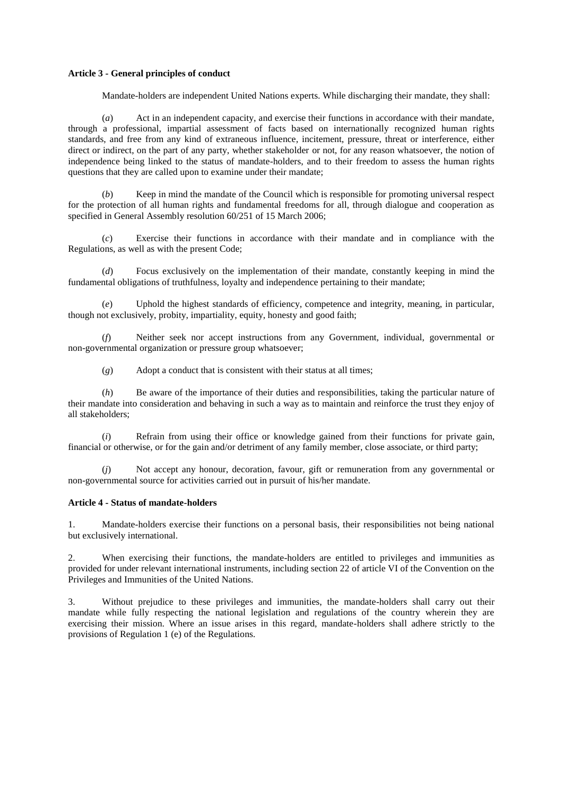#### **Article 3 - General principles of conduct**

Mandate-holders are independent United Nations experts. While discharging their mandate, they shall:

(*a*) Act in an independent capacity, and exercise their functions in accordance with their mandate, through a professional, impartial assessment of facts based on internationally recognized human rights standards, and free from any kind of extraneous influence, incitement, pressure, threat or interference, either direct or indirect, on the part of any party, whether stakeholder or not, for any reason whatsoever, the notion of independence being linked to the status of mandate-holders, and to their freedom to assess the human rights questions that they are called upon to examine under their mandate;

(*b*) Keep in mind the mandate of the Council which is responsible for promoting universal respect for the protection of all human rights and fundamental freedoms for all, through dialogue and cooperation as specified in General Assembly resolution 60/251 of 15 March 2006;

(*c*) Exercise their functions in accordance with their mandate and in compliance with the Regulations, as well as with the present Code;

(*d*) Focus exclusively on the implementation of their mandate, constantly keeping in mind the fundamental obligations of truthfulness, loyalty and independence pertaining to their mandate;

(*e*) Uphold the highest standards of efficiency, competence and integrity, meaning, in particular, though not exclusively, probity, impartiality, equity, honesty and good faith;

(*f*) Neither seek nor accept instructions from any Government, individual, governmental or non-governmental organization or pressure group whatsoever;

(*g*) Adopt a conduct that is consistent with their status at all times;

(*h*) Be aware of the importance of their duties and responsibilities, taking the particular nature of their mandate into consideration and behaving in such a way as to maintain and reinforce the trust they enjoy of all stakeholders;

(*i*) Refrain from using their office or knowledge gained from their functions for private gain, financial or otherwise, or for the gain and/or detriment of any family member, close associate, or third party;

(*j*) Not accept any honour, decoration, favour, gift or remuneration from any governmental or non-governmental source for activities carried out in pursuit of his/her mandate.

#### **Article 4 - Status of mandate-holders**

1. Mandate-holders exercise their functions on a personal basis, their responsibilities not being national but exclusively international.

2. When exercising their functions, the mandate-holders are entitled to privileges and immunities as provided for under relevant international instruments, including section 22 of article VI of the Convention on the Privileges and Immunities of the United Nations.

3. Without prejudice to these privileges and immunities, the mandate-holders shall carry out their mandate while fully respecting the national legislation and regulations of the country wherein they are exercising their mission. Where an issue arises in this regard, mandate-holders shall adhere strictly to the provisions of Regulation 1 (e) of the Regulations.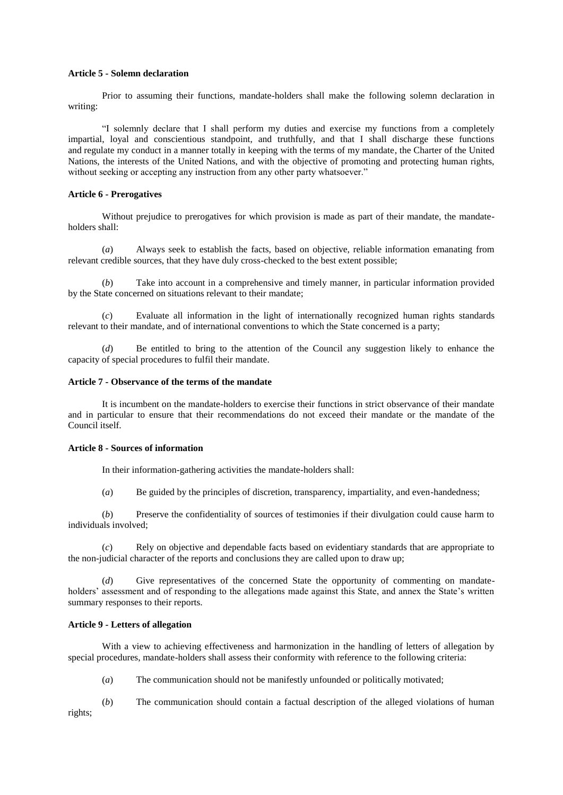#### **Article 5 - Solemn declaration**

Prior to assuming their functions, mandate-holders shall make the following solemn declaration in writing:

"I solemnly declare that I shall perform my duties and exercise my functions from a completely impartial, loyal and conscientious standpoint, and truthfully, and that I shall discharge these functions and regulate my conduct in a manner totally in keeping with the terms of my mandate, the Charter of the United Nations, the interests of the United Nations, and with the objective of promoting and protecting human rights, without seeking or accepting any instruction from any other party whatsoever."

# **Article 6 - Prerogatives**

Without prejudice to prerogatives for which provision is made as part of their mandate, the mandateholders shall:

(*a*) Always seek to establish the facts, based on objective, reliable information emanating from relevant credible sources, that they have duly cross-checked to the best extent possible;

(*b*) Take into account in a comprehensive and timely manner, in particular information provided by the State concerned on situations relevant to their mandate;

Evaluate all information in the light of internationally recognized human rights standards relevant to their mandate, and of international conventions to which the State concerned is a party;

(*d*) Be entitled to bring to the attention of the Council any suggestion likely to enhance the capacity of special procedures to fulfil their mandate.

### **Article 7 - Observance of the terms of the mandate**

It is incumbent on the mandate-holders to exercise their functions in strict observance of their mandate and in particular to ensure that their recommendations do not exceed their mandate or the mandate of the Council itself.

#### **Article 8 - Sources of information**

In their information-gathering activities the mandate-holders shall:

(*a*) Be guided by the principles of discretion, transparency, impartiality, and even-handedness;

(*b*) Preserve the confidentiality of sources of testimonies if their divulgation could cause harm to individuals involved;

(*c*) Rely on objective and dependable facts based on evidentiary standards that are appropriate to the non-judicial character of the reports and conclusions they are called upon to draw up;

(*d*) Give representatives of the concerned State the opportunity of commenting on mandateholders' assessment and of responding to the allegations made against this State, and annex the State's written summary responses to their reports.

## **Article 9 - Letters of allegation**

With a view to achieving effectiveness and harmonization in the handling of letters of allegation by special procedures, mandate-holders shall assess their conformity with reference to the following criteria:

(*a*) The communication should not be manifestly unfounded or politically motivated;

(*b*) The communication should contain a factual description of the alleged violations of human rights;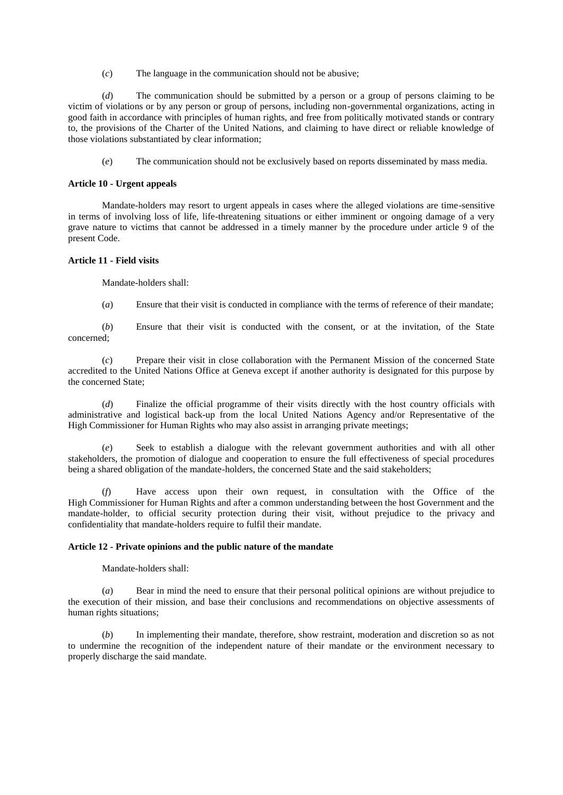(*c*) The language in the communication should not be abusive;

(*d*) The communication should be submitted by a person or a group of persons claiming to be victim of violations or by any person or group of persons, including non-governmental organizations, acting in good faith in accordance with principles of human rights, and free from politically motivated stands or contrary to, the provisions of the Charter of the United Nations, and claiming to have direct or reliable knowledge of those violations substantiated by clear information;

(*e*) The communication should not be exclusively based on reports disseminated by mass media.

## **Article 10 - Urgent appeals**

Mandate-holders may resort to urgent appeals in cases where the alleged violations are time-sensitive in terms of involving loss of life, life-threatening situations or either imminent or ongoing damage of a very grave nature to victims that cannot be addressed in a timely manner by the procedure under article 9 of the present Code.

#### **Article 11 - Field visits**

Mandate-holders shall:

(*a*) Ensure that their visit is conducted in compliance with the terms of reference of their mandate;

(*b*) Ensure that their visit is conducted with the consent, or at the invitation, of the State concerned;

Prepare their visit in close collaboration with the Permanent Mission of the concerned State accredited to the United Nations Office at Geneva except if another authority is designated for this purpose by the concerned State;

(*d*) Finalize the official programme of their visits directly with the host country officials with administrative and logistical back-up from the local United Nations Agency and/or Representative of the High Commissioner for Human Rights who may also assist in arranging private meetings;

(*e*) Seek to establish a dialogue with the relevant government authorities and with all other stakeholders, the promotion of dialogue and cooperation to ensure the full effectiveness of special procedures being a shared obligation of the mandate-holders, the concerned State and the said stakeholders;

(*f*) Have access upon their own request, in consultation with the Office of the High Commissioner for Human Rights and after a common understanding between the host Government and the mandate-holder, to official security protection during their visit, without prejudice to the privacy and confidentiality that mandate-holders require to fulfil their mandate.

### **Article 12 - Private opinions and the public nature of the mandate**

Mandate-holders shall:

(*a*) Bear in mind the need to ensure that their personal political opinions are without prejudice to the execution of their mission, and base their conclusions and recommendations on objective assessments of human rights situations;

In implementing their mandate, therefore, show restraint, moderation and discretion so as not to undermine the recognition of the independent nature of their mandate or the environment necessary to properly discharge the said mandate.